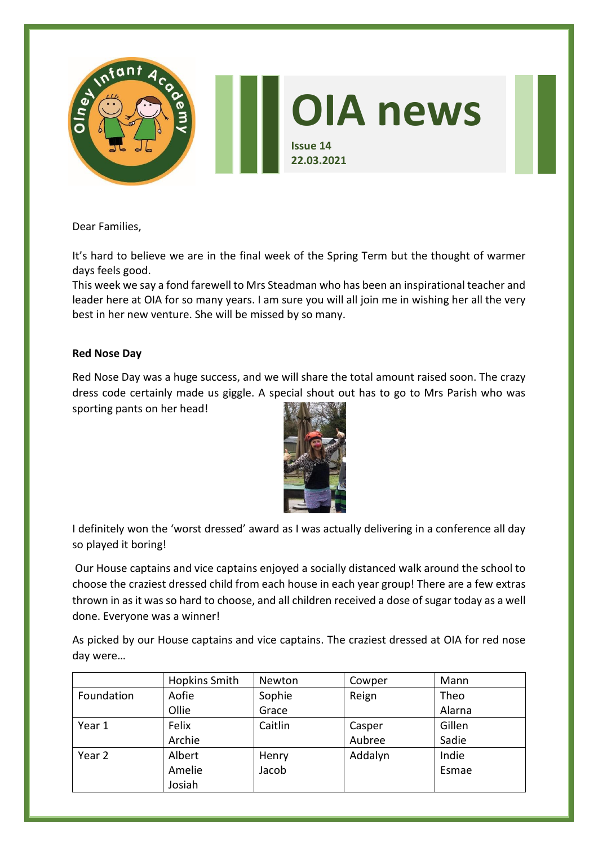

Dear Families,

It's hard to believe we are in the final week of the Spring Term but the thought of warmer days feels good.

This week we say a fond farewell to Mrs Steadman who has been an inspirational teacher and leader here at OIA for so many years. I am sure you will all join me in wishing her all the very best in her new venture. She will be missed by so many.

# **Red Nose Day**

Red Nose Day was a huge success, and we will share the total amount raised soon. The crazy dress code certainly made us giggle. A special shout out has to go to Mrs Parish who was sporting pants on her head!



I definitely won the 'worst dressed' award as I was actually delivering in a conference all day so played it boring!

Our House captains and vice captains enjoyed a socially distanced walk around the school to choose the craziest dressed child from each house in each year group! There are a few extras thrown in as it was so hard to choose, and all children received a dose of sugar today as a well done. Everyone was a winner!

As picked by our House captains and vice captains. The craziest dressed at OIA for red nose day were…

|            | <b>Hopkins Smith</b> | Newton  | Cowper  | Mann   |
|------------|----------------------|---------|---------|--------|
| Foundation | Aofie                | Sophie  | Reign   | Theo   |
|            | Ollie                | Grace   |         | Alarna |
| Year 1     | Felix                | Caitlin | Casper  | Gillen |
|            | Archie               |         | Aubree  | Sadie  |
| Year 2     | Albert               | Henry   | Addalyn | Indie  |
|            | Amelie               | Jacob   |         | Esmae  |
|            | Josiah               |         |         |        |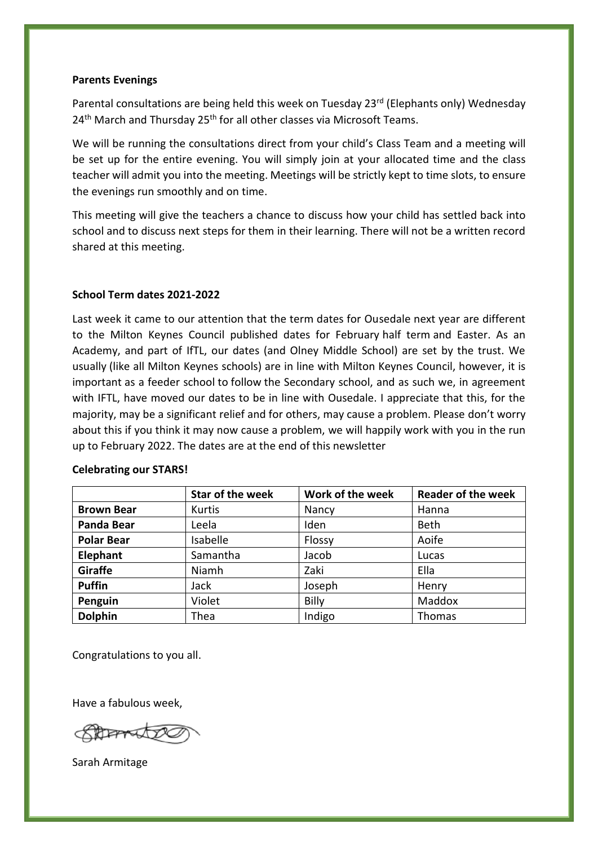## **Parents Evenings**

Parental consultations are being held this week on Tuesday 23<sup>rd</sup> (Elephants only) Wednesday 24<sup>th</sup> March and Thursday 25<sup>th</sup> for all other classes via Microsoft Teams.

We will be running the consultations direct from your child's Class Team and a meeting will be set up for the entire evening. You will simply join at your allocated time and the class teacher will admit you into the meeting. Meetings will be strictly kept to time slots, to ensure the evenings run smoothly and on time.

This meeting will give the teachers a chance to discuss how your child has settled back into school and to discuss next steps for them in their learning. There will not be a written record shared at this meeting.

### **School Term dates 2021-2022**

Last week it came to our attention that the term dates for Ousedale next year are different to the Milton Keynes Council published dates for February half term and Easter. As an Academy, and part of IfTL, our dates (and Olney Middle School) are set by the trust. We usually (like all Milton Keynes schools) are in line with Milton Keynes Council, however, it is important as a feeder school to follow the Secondary school, and as such we, in agreement with IFTL, have moved our dates to be in line with Ousedale. I appreciate that this, for the majority, may be a significant relief and for others, may cause a problem. Please don't worry about this if you think it may now cause a problem, we will happily work with you in the run up to February 2022. The dates are at the end of this newsletter

|                   | Star of the week | Work of the week | <b>Reader of the week</b> |
|-------------------|------------------|------------------|---------------------------|
| <b>Brown Bear</b> | Kurtis           | Nancy            | Hanna                     |
| <b>Panda Bear</b> | Leela            | Iden             | <b>Beth</b>               |
| <b>Polar Bear</b> | Isabelle         | Flossy           | Aoife                     |
| Elephant          | Samantha         | Jacob            | Lucas                     |
| Giraffe           | Niamh            | Zaki             | Ella                      |
| <b>Puffin</b>     | Jack             | Joseph           | Henry                     |
| Penguin           | Violet           | <b>Billy</b>     | Maddox                    |
| <b>Dolphin</b>    | Thea             | Indigo           | Thomas                    |

#### **Celebrating our STARS!**

Congratulations to you all.

Have a fabulous week,

**REFERENCE** 

Sarah Armitage